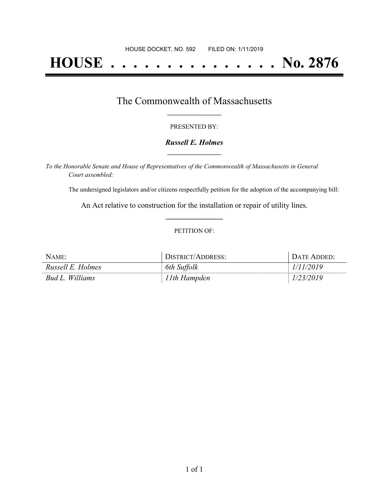# **HOUSE . . . . . . . . . . . . . . . No. 2876**

### The Commonwealth of Massachusetts **\_\_\_\_\_\_\_\_\_\_\_\_\_\_\_\_\_**

#### PRESENTED BY:

#### *Russell E. Holmes* **\_\_\_\_\_\_\_\_\_\_\_\_\_\_\_\_\_**

*To the Honorable Senate and House of Representatives of the Commonwealth of Massachusetts in General Court assembled:*

The undersigned legislators and/or citizens respectfully petition for the adoption of the accompanying bill:

An Act relative to construction for the installation or repair of utility lines. **\_\_\_\_\_\_\_\_\_\_\_\_\_\_\_**

#### PETITION OF:

| NAME:             | DISTRICT/ADDRESS: | DATE ADDED: |
|-------------------|-------------------|-------------|
| Russell E. Holmes | 6th Suffolk       | 1/11/2019   |
| Bud L. Williams   | 11th Hampden      | 1/23/2019   |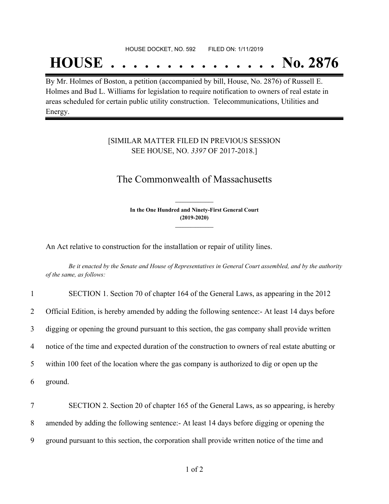#### HOUSE DOCKET, NO. 592 FILED ON: 1/11/2019

## **HOUSE . . . . . . . . . . . . . . . No. 2876**

By Mr. Holmes of Boston, a petition (accompanied by bill, House, No. 2876) of Russell E. Holmes and Bud L. Williams for legislation to require notification to owners of real estate in areas scheduled for certain public utility construction. Telecommunications, Utilities and Energy.

#### [SIMILAR MATTER FILED IN PREVIOUS SESSION SEE HOUSE, NO. *3397* OF 2017-2018.]

## The Commonwealth of Massachusetts

**In the One Hundred and Ninety-First General Court (2019-2020) \_\_\_\_\_\_\_\_\_\_\_\_\_\_\_**

**\_\_\_\_\_\_\_\_\_\_\_\_\_\_\_**

An Act relative to construction for the installation or repair of utility lines.

Be it enacted by the Senate and House of Representatives in General Court assembled, and by the authority *of the same, as follows:*

| $\mathbf{1}$   | SECTION 1. Section 70 of chapter 164 of the General Laws, as appearing in the 2012                |
|----------------|---------------------------------------------------------------------------------------------------|
| $\overline{2}$ | Official Edition, is hereby amended by adding the following sentence: At least 14 days before     |
| 3              | digging or opening the ground pursuant to this section, the gas company shall provide written     |
| 4              | notice of the time and expected duration of the construction to owners of real estate abutting or |
| 5              | within 100 feet of the location where the gas company is authorized to dig or open up the         |
| 6              | ground.                                                                                           |
| 7              | SECTION 2. Section 20 of chapter 165 of the General Laws, as so appearing, is hereby              |

8 amended by adding the following sentence:- At least 14 days before digging or opening the

9 ground pursuant to this section, the corporation shall provide written notice of the time and